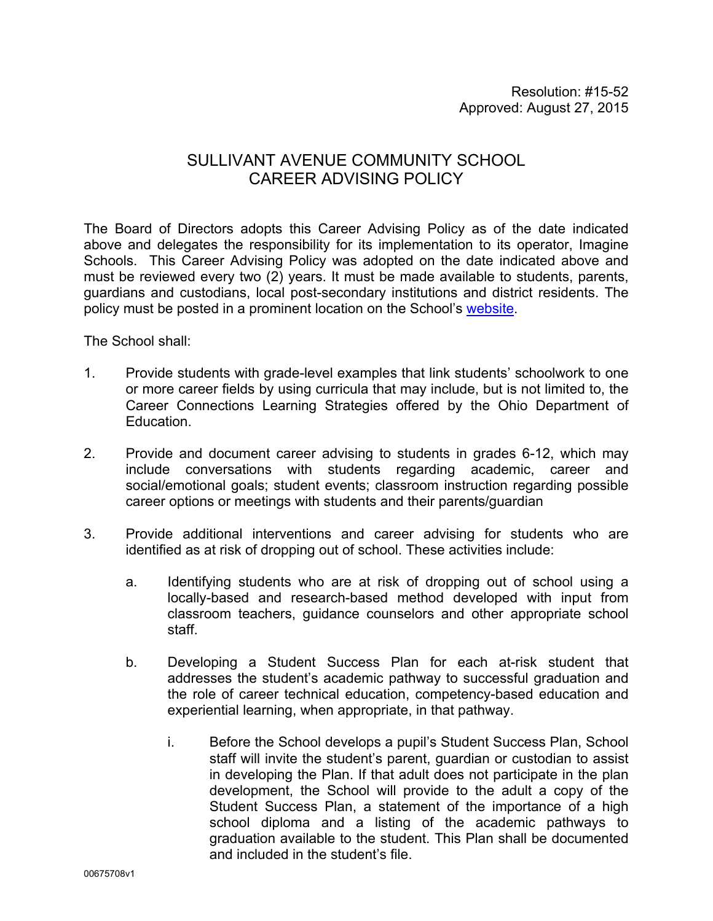## SULLIVANT AVENUE COMMUNITY SCHOOL CAREER ADVISING POLICY

The Board of Directors adopts this Career Advising Policy as of the date indicated above and delegates the responsibility for its implementation to its operator, Imagine Schools. This Career Advising Policy was adopted on the date indicated above and must be reviewed every two (2) years. It must be made available to students, parents, guardians and custodians, local post-secondary institutions and district residents. The policy must be posted in a prominent location on the School's website.

The School shall:

- 1. Provide students with grade-level examples that link students' schoolwork to one or more career fields by using curricula that may include, but is not limited to, the Career Connections Learning Strategies offered by the Ohio Department of Education.
- 2. Provide and document career advising to students in grades 6-12, which may include conversations with students regarding academic, career and social/emotional goals; student events; classroom instruction regarding possible career options or meetings with students and their parents/guardian
- 3. Provide additional interventions and career advising for students who are identified as at risk of dropping out of school. These activities include:
	- a. Identifying students who are at risk of dropping out of school using a locally-based and research-based method developed with input from classroom teachers, guidance counselors and other appropriate school staff.
	- b. Developing a Student Success Plan for each at-risk student that addresses the student's academic pathway to successful graduation and the role of career technical education, competency-based education and experiential learning, when appropriate, in that pathway.
		- i. Before the School develops a pupil's Student Success Plan, School staff will invite the student's parent, guardian or custodian to assist in developing the Plan. If that adult does not participate in the plan development, the School will provide to the adult a copy of the Student Success Plan, a statement of the importance of a high school diploma and a listing of the academic pathways to graduation available to the student. This Plan shall be documented and included in the student's file.